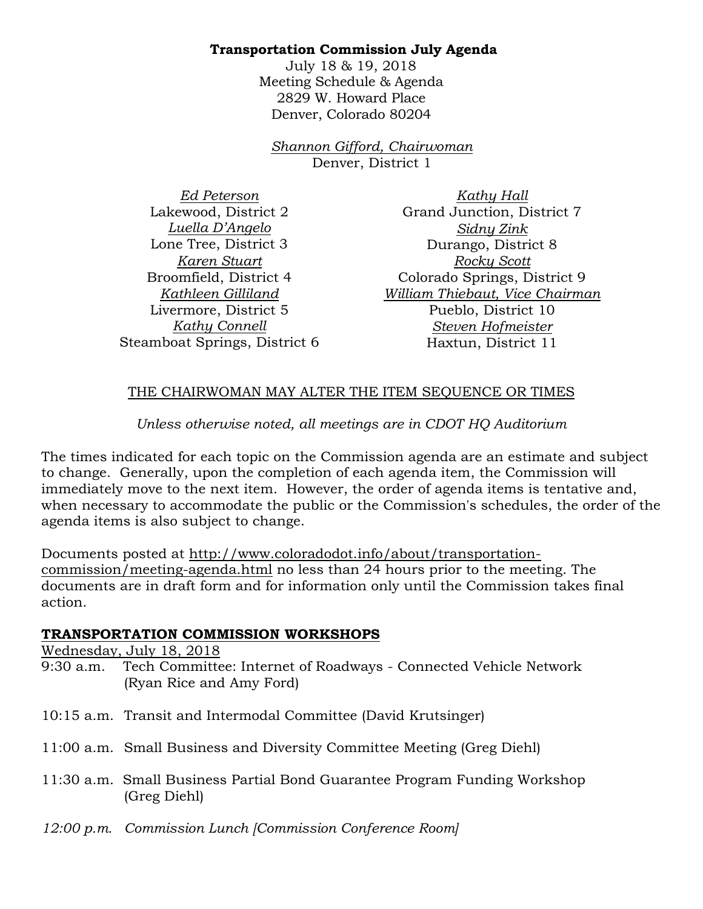### **Transportation Commission July Agenda**

July 18 & 19, 2018 Meeting Schedule & Agenda 2829 W. Howard Place Denver, Colorado 80204

*Shannon Gifford, Chairwoman*  Denver, District 1

*Ed Peterson* Lakewood, District 2 *Luella D'Angelo* Lone Tree, District 3 *Karen Stuart* Broomfield, District 4 *Kathleen Gilliland* Livermore, District 5 *Kathy Connell* Steamboat Springs, District 6

*Kathy Hall* Grand Junction, District 7 *Sidny Zink* Durango, District 8 *Rocky Scott* Colorado Springs, District 9 *William Thiebaut, Vice Chairman* Pueblo, District 10 *Steven Hofmeister* Haxtun, District 11

## THE CHAIRWOMAN MAY ALTER THE ITEM SEQUENCE OR TIMES

# *Unless otherwise noted, all meetings are in CDOT HQ Auditorium*

The times indicated for each topic on the Commission agenda are an estimate and subject to change. Generally, upon the completion of each agenda item, the Commission will immediately move to the next item. However, the order of agenda items is tentative and, when necessary to accommodate the public or the Commission's schedules, the order of the agenda items is also subject to change.

Documents posted at http://www.coloradodot.info/about/transportationcommission/meeting-agenda.html no less than 24 hours prior to the meeting. The documents are in draft form and for information only until the Commission takes final action.

#### **TRANSPORTATION COMMISSION WORKSHOPS**

Wednesday, July 18, 2018

- 9:30 a.m. Tech Committee: Internet of Roadways Connected Vehicle Network (Ryan Rice and Amy Ford)
- 10:15 a.m. Transit and Intermodal Committee (David Krutsinger)
- 11:00 a.m. Small Business and Diversity Committee Meeting (Greg Diehl)
- 11:30 a.m. Small Business Partial Bond Guarantee Program Funding Workshop (Greg Diehl)
- *12:00 p.m. Commission Lunch [Commission Conference Room]*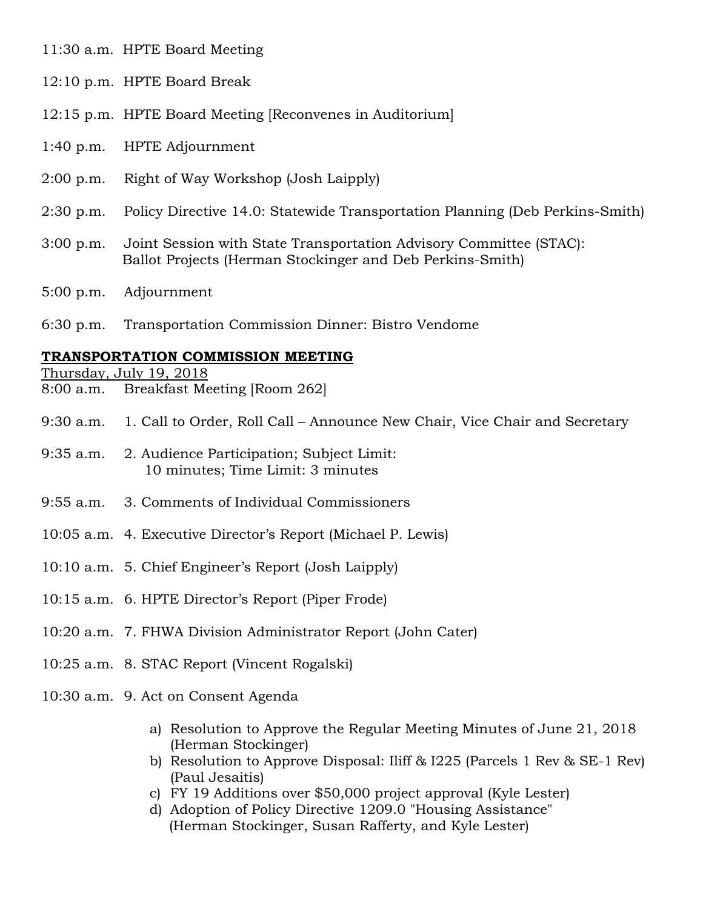11:30 a.m. HPTE Board Meeting

- 12:10 p.m. HPTE Board Break
- 12:15 p.m. HPTE Board Meeting [Reconvenes in Auditorium]
- 1:40 p.m. HPTE Adjournment
- 2:00 p.m. Right of Way Workshop (Josh Laipply)
- 2:30 p.m. Policy Directive 14.0: Statewide Transportation Planning (Deb Perkins-Smith)
- 3:00 p.m. Joint Session with State Transportation Advisory Committee (STAC): Ballot Projects (Herman Stockinger and Deb Perkins-Smith)
- 5:00 p.m. Adjournment
- 6:30 p.m. Transportation Commission Dinner: Bistro Vendome

#### **TRANSPORTATION COMMISSION MEETING**

Thursday, July 19, 2018

- 8:00 a.m. Breakfast Meeting [Room 262]
- 9:30 a.m. 1. Call to Order, Roll Call Announce New Chair, Vice Chair and Secretary
- 9:35 a.m. 2. Audience Participation; Subject Limit: 10 minutes; Time Limit: 3 minutes
- 9:55 a.m. 3. Comments of Individual Commissioners
- 10:05 a.m. 4. Executive Director's Report (Michael P. Lewis)
- 10:10 a.m. 5. Chief Engineer's Report (Josh Laipply)
- 10:15 a.m. 6. HPTE Director's Report (Piper Frode)
- 10:20 a.m. 7. FHWA Division Administrator Report (John Cater)
- 10:25 a.m. 8. STAC Report (Vincent Rogalski)
- 10:30 a.m. 9. Act on Consent Agenda
	- a) Resolution to Approve the Regular Meeting Minutes of June 21, 2018 (Herman Stockinger)
	- b) Resolution to Approve Disposal: Iliff & I225 (Parcels 1 Rev & SE-1 Rev) (Paul Jesaitis)
	- c) FY 19 Additions over \$50,000 project approval (Kyle Lester)
	- d) Adoption of Policy Directive 1209.0 "Housing Assistance" (Herman Stockinger, Susan Rafferty, and Kyle Lester)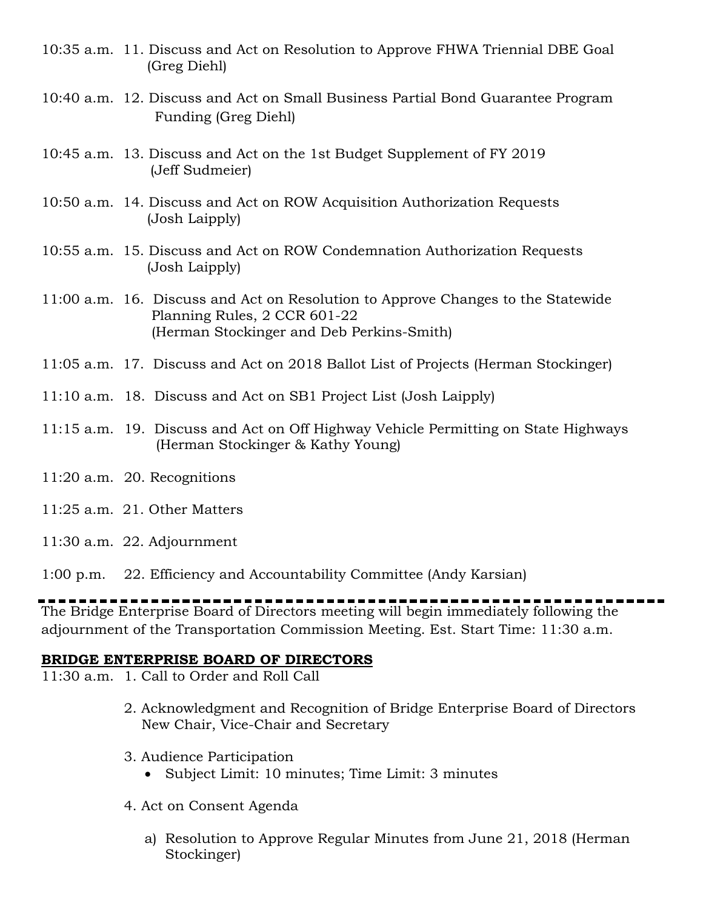- 10:35 a.m. 11. Discuss and Act on Resolution to Approve FHWA Triennial DBE Goal (Greg Diehl)
- 10:40 a.m. 12. Discuss and Act on Small Business Partial Bond Guarantee Program Funding (Greg Diehl)
- 10:45 a.m. 13. Discuss and Act on the 1st Budget Supplement of FY 2019 (Jeff Sudmeier)
- 10:50 a.m. 14. Discuss and Act on ROW Acquisition Authorization Requests (Josh Laipply)
- 10:55 a.m. 15. Discuss and Act on ROW Condemnation Authorization Requests (Josh Laipply)
- 11:00 a.m. 16. Discuss and Act on Resolution to Approve Changes to the Statewide Planning Rules, 2 CCR 601-22 (Herman Stockinger and Deb Perkins-Smith)
- 11:05 a.m. 17. Discuss and Act on 2018 Ballot List of Projects (Herman Stockinger)
- 11:10 a.m. 18. Discuss and Act on SB1 Project List (Josh Laipply)
- 11:15 a.m. 19. Discuss and Act on Off Highway Vehicle Permitting on State Highways (Herman Stockinger & Kathy Young)
- 11:20 a.m. 20. Recognitions
- 11:25 a.m. 21. Other Matters
- 11:30 a.m. 22. Adjournment
- 1:00 p.m. 22. Efficiency and Accountability Committee (Andy Karsian)

The Bridge Enterprise Board of Directors meeting will begin immediately following the adjournment of the Transportation Commission Meeting. Est. Start Time: 11:30 a.m.

#### **BRIDGE ENTERPRISE BOARD OF DIRECTORS**

11:30 a.m. 1. Call to Order and Roll Call

- 2. Acknowledgment and Recognition of Bridge Enterprise Board of Directors New Chair, Vice-Chair and Secretary
- 3. Audience Participation
	- Subject Limit: 10 minutes; Time Limit: 3 minutes
- 4. Act on Consent Agenda
	- a) Resolution to Approve Regular Minutes from June 21, 2018 (Herman Stockinger)